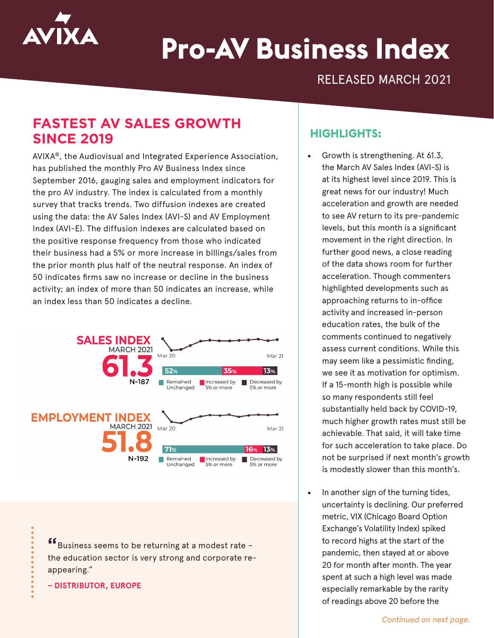

# **Pro-AV Business Index**

RELEASED MARCH 2021

## **FASTEST AV SALES GROWTH SINCE 2019**

AVIXA®, the Audiovisual and Integrated Experience Association, has published the monthly Pro AV Business Index since September 2016, gauging sales and employment indicators for the pro AV industry. The index is calculated from a monthly survey that tracks trends. Two diffusion indexes are created using the data: the AV Sales Index (AVI-S) and AV Employment Index (AVI-E). The diffusion indexes are calculated based on the positive response frequency from those who indicated their business had a 5% or more increase in billings/sales from the prior month plus half of the neutral response. An index of 50 indicates firms saw no increase or decline in the business activity; an index of more than 50 indicates an increase, while an index less than 50 indicates a decline.



**"**Business seems to be returning at a modest rate – the education sector is very strong and corporate reappearing."

**– DISTRIBUTOR, EUROPE**

#### **HIGHLIGHTS:**

- Growth is strengthening. At 61.3, the March AV Sales Index (AVI-S) is at its highest level since 2019. This is great news for our industry! Much acceleration and growth are needed to see AV return to its pre-pandemic levels, but this month is a significant movement in the right direction. In further good news, a close reading of the data shows room for further acceleration. Though commenters highlighted developments such as approaching returns to in-office activity and increased in-person education rates, the bulk of the comments continued to negatively assess current conditions. While this may seem like a pessimistic finding, we see it as motivation for optimism. If a 15-month high is possible while so many respondents still feel substantially held back by COVID-19, much higher growth rates must still be achievable. That said, it will take time for such acceleration to take place. Do not be surprised if next month's growth is modestly slower than this month's.
- In another sign of the turning tides, uncertainty is declining. Our preferred metric, VIX (Chicago Board Option Exchange's Volatility Index) spiked to record highs at the start of the pandemic, then stayed at or above 20 for month after month. The year spent at such a high level was made especially remarkable by the rarity of readings above 20 before the

*Continued on next page.*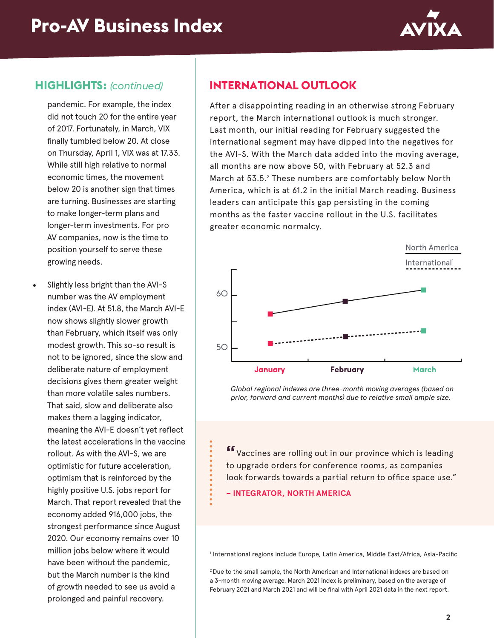

#### **HIGHLIGHTS:** *(continued)*

pandemic. For example, the index did not touch 20 for the entire year of 2017. Fortunately, in March, VIX finally tumbled below 20. At close on Thursday, April 1, VIX was at 17.33. While still high relative to normal economic times, the movement below 20 is another sign that times are turning. Businesses are starting to make longer-term plans and longer-term investments. For pro AV companies, now is the time to position yourself to serve these growing needs.

• Slightly less bright than the AVI-S number was the AV employment index (AVI-E). At 51.8, the March AVI-E now shows slightly slower growth than February, which itself was only modest growth. This so-so result is not to be ignored, since the slow and deliberate nature of employment decisions gives them greater weight than more volatile sales numbers. That said, slow and deliberate also makes them a lagging indicator, meaning the AVI-E doesn't yet reflect the latest accelerations in the vaccine rollout. As with the AVI-S, we are optimistic for future acceleration, optimism that is reinforced by the highly positive U.S. jobs report for March. That report revealed that the economy added 916,000 jobs, the strongest performance since August 2020. Our economy remains over 10 million jobs below where it would have been without the pandemic, but the March number is the kind of growth needed to see us avoid a prolonged and painful recovery.

### **INTERNATIONAL OUTLOOK**

After a disappointing reading in an otherwise strong February report, the March international outlook is much stronger. Last month, our initial reading for February suggested the international segment may have dipped into the negatives for the AVI-S. With the March data added into the moving average, all months are now above 50, with February at 52.3 and March at 53.5.2 These numbers are comfortably below North America, which is at 61.2 in the initial March reading. Business leaders can anticipate this gap persisting in the coming months as the faster vaccine rollout in the U.S. facilitates greater economic normalcy.



*Global regional indexes are three-month moving averages (based on prior, forward and current months) due to relative small ample size.*

**"**Vaccines are rolling out in our province which is leading to upgrade orders for conference rooms, as companies look forwards towards a partial return to office space use."

**– INTEGRATOR, NORTH AMERICA**

1 International regions include Europe, Latin America, Middle East/Africa, Asia-Pacific

2 Due to the small sample, the North American and International indexes are based on a 3-month moving average. March 2021 index is preliminary, based on the average of February 2021 and March 2021 and will be final with April 2021 data in the next report.